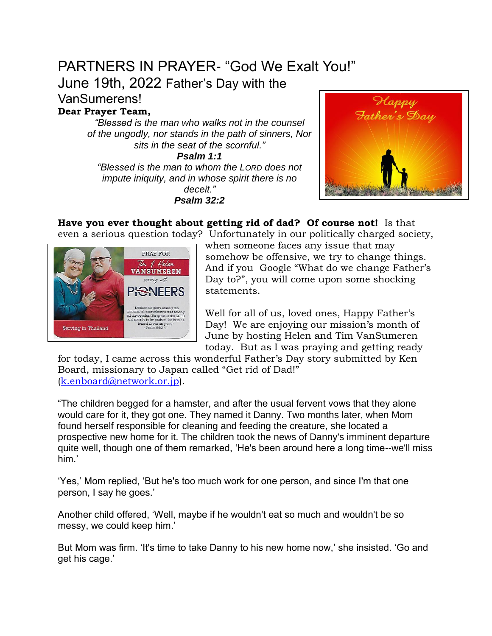# PARTNERS IN PRAYER- "God We Exalt You!"

June 19th, 2022 Father's Day with the

VanSumerens!

**Dear Prayer Team,**

*"Blessed is the man who walks not in the counsel of the ungodly, nor stands in the path of sinners, Nor sits in the seat of the scornful."*

*Psalm 1:1 "Blessed is the man to whom the LORD does not impute iniquity, and in whose spirit there is no deceit." Psalm 32:2*



**Have you ever thought about getting rid of dad? Of course not!** Is that even a serious question today? Unfortunately in our politically charged society,



when someone faces any issue that may somehow be offensive, we try to change things. And if you Google "What do we change Father's Day to?", you will come upon some shocking statements.

Well for all of us, loved ones, Happy Father's Day! We are enjoying our mission's month of June by hosting Helen and Tim VanSumeren today. But as I was praying and getting ready

for today, I came across this wonderful Father's Day story submitted by Ken Board, missionary to Japan called "Get rid of Dad!" [\(k.enboard@network.or.jp\)](mailto:k.enboard@network.or.jp).

"The children begged for a hamster, and after the usual fervent vows that they alone would care for it, they got one. They named it Danny. Two months later, when Mom found herself responsible for cleaning and feeding the creature, she located a prospective new home for it. The children took the news of Danny's imminent departure quite well, though one of them remarked, 'He's been around here a long time--we'll miss him.'

'Yes,' Mom replied, 'But he's too much work for one person, and since I'm that one person, I say he goes.'

Another child offered, 'Well, maybe if he wouldn't eat so much and wouldn't be so messy, we could keep him.'

But Mom was firm. 'It's time to take Danny to his new home now,' she insisted. 'Go and get his cage.'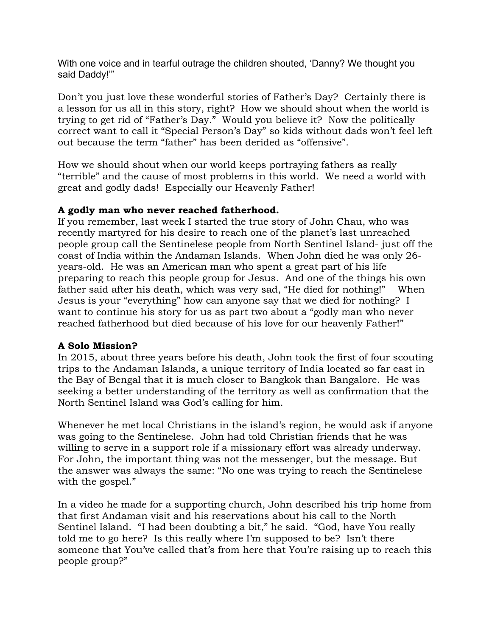With one voice and in tearful outrage the children shouted, 'Danny? We thought you said Daddy!'"

Don't you just love these wonderful stories of Father's Day? Certainly there is a lesson for us all in this story, right? How we should shout when the world is trying to get rid of "Father's Day." Would you believe it? Now the politically correct want to call it "Special Person's Day" so kids without dads won't feel left out because the term "father" has been derided as "offensive".

How we should shout when our world keeps portraying fathers as really "terrible" and the cause of most problems in this world. We need a world with great and godly dads! Especially our Heavenly Father!

## **A godly man who never reached fatherhood.**

If you remember, last week I started the true story of John Chau, who was recently martyred for his desire to reach one of the planet's last unreached people group call the Sentinelese people from North Sentinel Island- just off the coast of India within the Andaman Islands. When John died he was only 26 years-old. He was an American man who spent a great part of his life preparing to reach this people group for Jesus. And one of the things his own father said after his death, which was very sad, "He died for nothing!" When Jesus is your "everything" how can anyone say that we died for nothing? I want to continue his story for us as part two about a "godly man who never reached fatherhood but died because of his love for our heavenly Father!"

## **A Solo Mission?**

In 2015, about three years before his death, John took the first of four scouting trips to the Andaman Islands, a unique territory of India located so far east in the Bay of Bengal that it is much closer to Bangkok than Bangalore. He was seeking a better understanding of the territory as well as confirmation that the North Sentinel Island was God's calling for him.

Whenever he met local Christians in the island's region, he would ask if anyone was going to the Sentinelese. John had told Christian friends that he was willing to serve in a support role if a missionary effort was already underway. For John, the important thing was not the messenger, but the message. But the answer was always the same: "No one was trying to reach the Sentinelese with the gospel."

In a video he made for a supporting church, John described his trip home from that first Andaman visit and his reservations about his call to the North Sentinel Island. "I had been doubting a bit," he said. "God, have You really told me to go here? Is this really where I'm supposed to be? Isn't there someone that You've called that's from here that You're raising up to reach this people group?"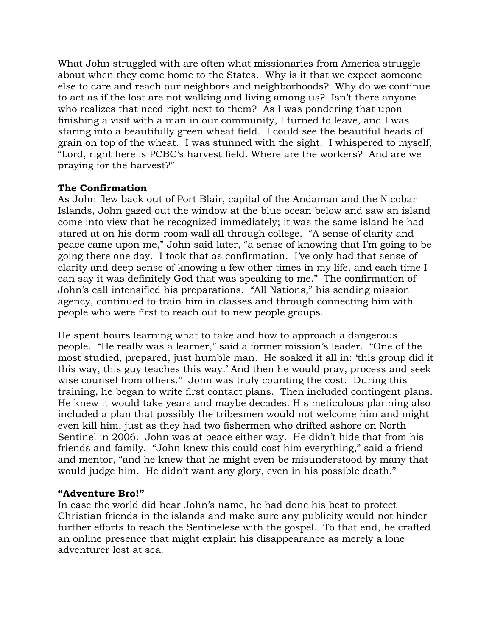What John struggled with are often what missionaries from America struggle about when they come home to the States. Why is it that we expect someone else to care and reach our neighbors and neighborhoods? Why do we continue to act as if the lost are not walking and living among us? Isn't there anyone who realizes that need right next to them? As I was pondering that upon finishing a visit with a man in our community, I turned to leave, and I was staring into a beautifully green wheat field. I could see the beautiful heads of grain on top of the wheat. I was stunned with the sight. I whispered to myself, "Lord, right here is PCBC's harvest field. Where are the workers? And are we praying for the harvest?"

## **The Confirmation**

As John flew back out of Port Blair, capital of the Andaman and the Nicobar Islands, John gazed out the window at the blue ocean below and saw an island come into view that he recognized immediately; it was the same island he had stared at on his dorm-room wall all through college. "A sense of clarity and peace came upon me," John said later, "a sense of knowing that I'm going to be going there one day. I took that as confirmation. I've only had that sense of clarity and deep sense of knowing a few other times in my life, and each time I can say it was definitely God that was speaking to me." The confirmation of John's call intensified his preparations. "All Nations," his sending mission agency, continued to train him in classes and through connecting him with people who were first to reach out to new people groups.

He spent hours learning what to take and how to approach a dangerous people. "He really was a learner," said a former mission's leader. "One of the most studied, prepared, just humble man. He soaked it all in: 'this group did it this way, this guy teaches this way.' And then he would pray, process and seek wise counsel from others." John was truly counting the cost. During this training, he began to write first contact plans. Then included contingent plans. He knew it would take years and maybe decades. His meticulous planning also included a plan that possibly the tribesmen would not welcome him and might even kill him, just as they had two fishermen who drifted ashore on North Sentinel in 2006. John was at peace either way. He didn't hide that from his friends and family. "John knew this could cost him everything," said a friend and mentor, "and he knew that he might even be misunderstood by many that would judge him. He didn't want any glory, even in his possible death."

## **"Adventure Bro!"**

In case the world did hear John's name, he had done his best to protect Christian friends in the islands and make sure any publicity would not hinder further efforts to reach the Sentinelese with the gospel. To that end, he crafted an online presence that might explain his disappearance as merely a lone adventurer lost at sea.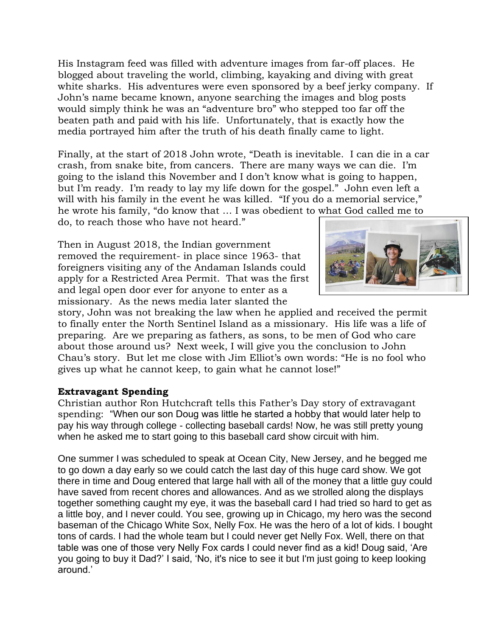His Instagram feed was filled with adventure images from far-off places. He blogged about traveling the world, climbing, kayaking and diving with great white sharks. His adventures were even sponsored by a beef jerky company. If John's name became known, anyone searching the images and blog posts would simply think he was an "adventure bro" who stepped too far off the beaten path and paid with his life. Unfortunately, that is exactly how the media portrayed him after the truth of his death finally came to light.

Finally, at the start of 2018 John wrote, "Death is inevitable. I can die in a car crash, from snake bite, from cancers. There are many ways we can die. I'm going to the island this November and I don't know what is going to happen, but I'm ready. I'm ready to lay my life down for the gospel." John even left a will with his family in the event he was killed. "If you do a memorial service," he wrote his family, "do know that … I was obedient to what God called me to

do, to reach those who have not heard."

Then in August 2018, the Indian government removed the requirement- in place since 1963- that foreigners visiting any of the Andaman Islands could apply for a Restricted Area Permit. That was the first and legal open door ever for anyone to enter as a missionary. As the news media later slanted the



story, John was not breaking the law when he applied and received the permit to finally enter the North Sentinel Island as a missionary. His life was a life of preparing. Are we preparing as fathers, as sons, to be men of God who care about those around us? Next week, I will give you the conclusion to John Chau's story. But let me close with Jim Elliot's own words: "He is no fool who gives up what he cannot keep, to gain what he cannot lose!"

## **Extravagant Spending**

Christian author Ron Hutchcraft tells this Father's Day story of extravagant spending: "When our son Doug was little he started a hobby that would later help to pay his way through college - collecting baseball cards! Now, he was still pretty young when he asked me to start going to this baseball card show circuit with him.

One summer I was scheduled to speak at Ocean City, New Jersey, and he begged me to go down a day early so we could catch the last day of this huge card show. We got there in time and Doug entered that large hall with all of the money that a little guy could have saved from recent chores and allowances. And as we strolled along the displays together something caught my eye, it was the baseball card I had tried so hard to get as a little boy, and I never could. You see, growing up in Chicago, my hero was the second baseman of the Chicago White Sox, Nelly Fox. He was the hero of a lot of kids. I bought tons of cards. I had the whole team but I could never get Nelly Fox. Well, there on that table was one of those very Nelly Fox cards I could never find as a kid! Doug said, 'Are you going to buy it Dad?' I said, 'No, it's nice to see it but I'm just going to keep looking around.'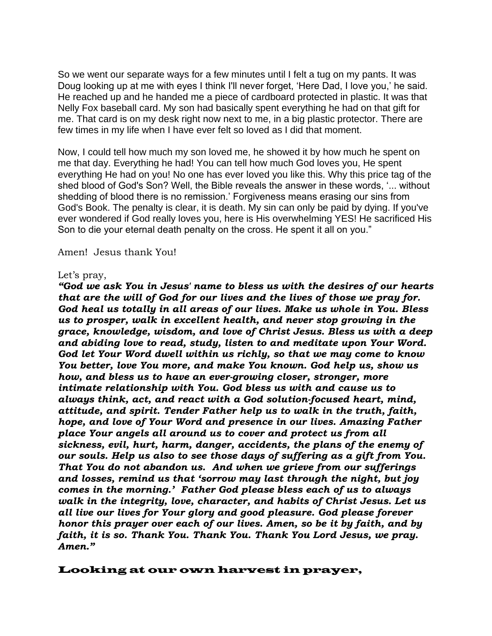So we went our separate ways for a few minutes until I felt a tug on my pants. It was Doug looking up at me with eyes I think I'll never forget, 'Here Dad, I love you,' he said. He reached up and he handed me a piece of cardboard protected in plastic. It was that Nelly Fox baseball card. My son had basically spent everything he had on that gift for me. That card is on my desk right now next to me, in a big plastic protector. There are few times in my life when I have ever felt so loved as I did that moment.

Now, I could tell how much my son loved me, he showed it by how much he spent on me that day. Everything he had! You can tell how much God loves you, He spent everything He had on you! No one has ever loved you like this. Why this price tag of the shed blood of God's Son? Well, the Bible reveals the answer in these words, '... without shedding of blood there is no remission.' Forgiveness means erasing our sins from God's Book. The penalty is clear, it is death. My sin can only be paid by dying. If you've ever wondered if God really loves you, here is His overwhelming YES! He sacrificed His Son to die your eternal death penalty on the cross. He spent it all on you."

#### Amen! Jesus thank You!

#### Let's pray,

*"God we ask You in Jesus' name to bless us with the desires of our hearts that are the will of God for our lives and the lives of those we pray for. God heal us totally in all areas of our lives. Make us whole in You. Bless us to prosper, walk in excellent health, and never stop growing in the grace, knowledge, wisdom, and love of Christ Jesus. Bless us with a deep and abiding love to read, study, listen to and meditate upon Your Word. God let Your Word dwell within us richly, so that we may come to know You better, love You more, and make You known. God help us, show us how, and bless us to have an ever-growing closer, stronger, more intimate relationship with You. God bless us with and cause us to always think, act, and react with a God solution-focused heart, mind, attitude, and spirit. Tender Father help us to walk in the truth, faith, hope, and love of Your Word and presence in our lives. Amazing Father place Your angels all around us to cover and protect us from all sickness, evil, hurt, harm, danger, accidents, the plans of the enemy of our souls. Help us also to see those days of suffering as a gift from You. That You do not abandon us. And when we grieve from our sufferings and losses, remind us that 'sorrow may last through the night, but joy comes in the morning.' Father God please bless each of us to always walk in the integrity, love, character, and habits of Christ Jesus. Let us all live our lives for Your glory and good pleasure. God please forever honor this prayer over each of our lives. Amen, so be it by faith, and by faith, it is so. Thank You. Thank You. Thank You Lord Jesus, we pray. Amen."*

### Looking at our own harvest in prayer,